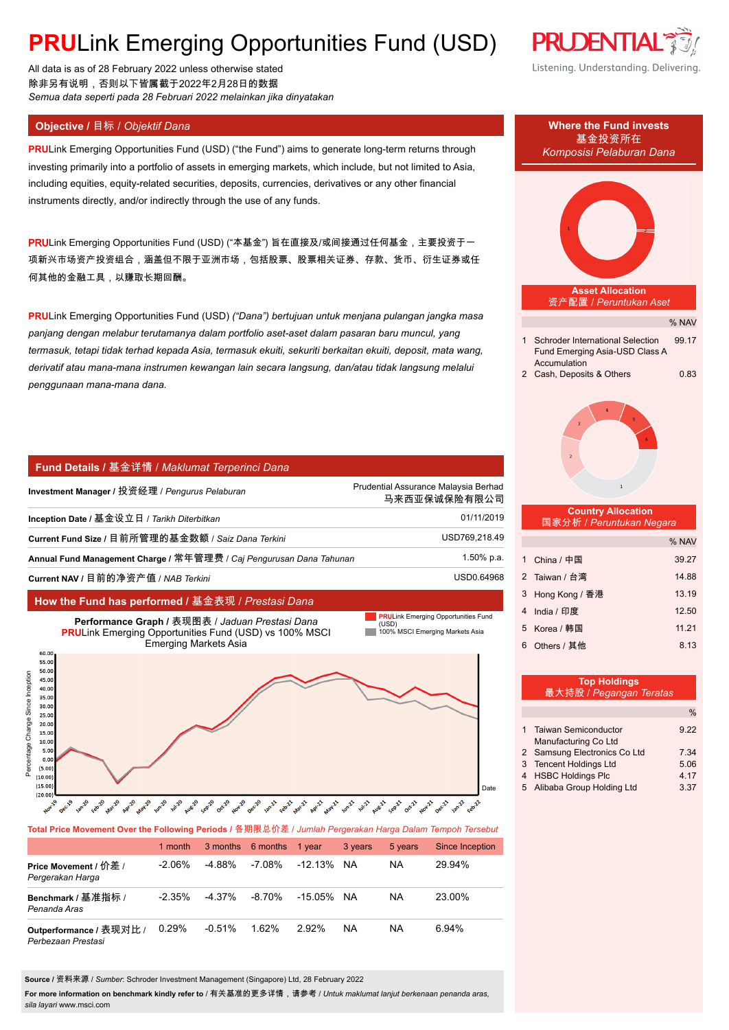# **PRULink Emerging Opportunities Fund (USD)**

All data is as of 28 February 2022 unless otherwise stated 除非另有说明,否则以下皆属截于2022年2月28日的数据 *Semua data seperti pada 28 Februari 2022 melainkan jika dinyatakan*

**PRU**Link Emerging Opportunities Fund (USD) ("the Fund") aims to generate long-term returns through investing primarily into a portfolio of assets in emerging markets, which include, but not limited to Asia, including equities, equity-related securities, deposits, currencies, derivatives or any other financial instruments directly, and/or indirectly through the use of any funds.

PRULink Emerging Opportunities Fund (USD) ("本基金") 旨在直接及/或间接通过任何基金,主要投资于一 项新兴市场资产投资组合,涵盖但不限于亚洲市场,包括股票、股票相关证券、存款、货币、衍生证券或任 何其他的金融工具,以赚取长期回酬。

**PRU**Link Emerging Opportunities Fund (USD) *("Dana") bertujuan untuk menjana pulangan jangka masa panjang dengan melabur terutamanya dalam portfolio aset-aset dalam pasaran baru muncul, yang termasuk, tetapi tidak terhad kepada Asia, termasuk ekuiti, sekuriti berkaitan ekuiti, deposit, mata wang, derivatif atau mana-mana instrumen kewangan lain secara langsung, dan/atau tidak langsung melalui penggunaan mana-mana dana.*

# **Fund Details /** 基金详情 / *Maklumat Terperinci Dana*

| Investment Manager / 投资经理 / Pengurus Pelaburan                      | Prudential Assurance Malaysia Berhad<br>马来西亚保诚保险有限公司 |
|---------------------------------------------------------------------|------------------------------------------------------|
| Inception Date / 基金设立日 / Tarikh Diterbitkan                         | 01/11/2019                                           |
| Current Fund Size / 目前所管理的基金数额 / Saiz Dana Terkini                  | USD769,218.49                                        |
| Annual Fund Management Charge / 常年管理费 / Caj Pengurusan Dana Tahunan | 1.50% p.a.                                           |
| Current NAV / 目前的净资产值 / NAB Terkini                                 | USD0.64968                                           |
|                                                                     |                                                      |

# **How the Fund has performed /** 基金表现 / *Prestasi Dana*



**Total Price Movement Over the Following Periods /** 各期限总价差 / *Jumlah Pergerakan Harga Dalam Tempoh Tersebut*

|                                               | 1 month   |           | 3 months 6 months | 1 vear     | 3 years   | 5 years | Since Inception |
|-----------------------------------------------|-----------|-----------|-------------------|------------|-----------|---------|-----------------|
| Price Movement / 价差 /<br>Pergerakan Harga     | $-2.06\%$ | -4.88%    | -7.08%            | -12.13%    | NA.       | ΝA      | 29.94%          |
| Benchmark / 基准指标 /<br>Penanda Aras            | $-2.35\%$ | $-4.37\%$ | -8.70%            | -15.05% NA |           | ΝA      | 23.00%          |
| Outperformance / 表现对比 /<br>Perbezaan Prestasi | 0.29%     | $-0.51%$  | 1.62%             | $2.92\%$   | <b>NA</b> | NA      | 6.94%           |

**Source /** 资料来源 / *Sumber*: Schroder Investment Management (Singapore) Ltd, 28 February 2022

**For more information on benchmark kindly refer to** / 有关基准的更多详情,请参考 / *Untuk maklumat lanjut berkenaan penanda aras, sila layari* www.msci.com





| 最大持股 / Pegangan Teratas      |      |
|------------------------------|------|
|                              | $\%$ |
|                              |      |
| 1 Taiwan Semiconductor       | 9.22 |
| Manufacturing Co Ltd         |      |
| 2 Samsung Electronics Co Ltd | 7.34 |
| 3 Tencent Holdings Ltd       | 5.06 |
| 4 HSBC Holdings Plc          | 4.17 |
| 5 Alibaba Group Holding Ltd  | 3.37 |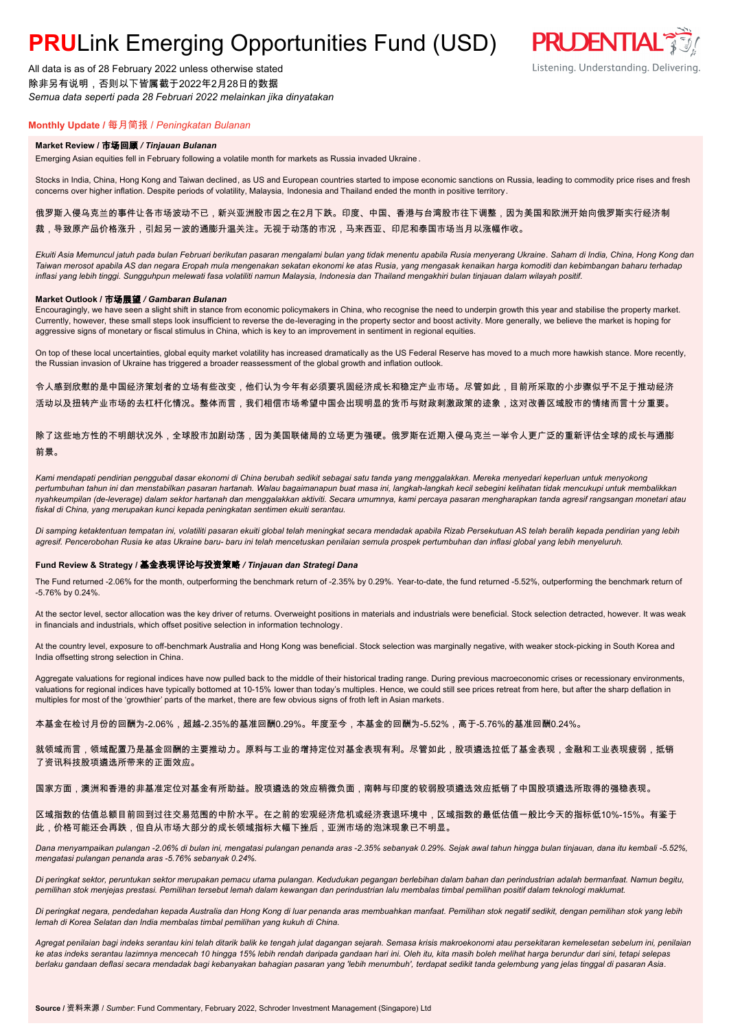# **PRU**Link Emerging Opportunities Fund (USD)

All data is as of 28 February 2022 unless otherwise stated 除非另有说明,否则以下皆属截于2022年2月28日的数据 *Semua data seperti pada 28 Februari 2022 melainkan jika dinyatakan*

# **Monthly Update /** 每月简报 / *Peningkatan Bulanan*

### **Market Review /** 市场回顾 */ Tinjauan Bulanan*

Emerging Asian equities fell in February following a volatile month for markets as Russia invaded Ukraine .

Stocks in India, China, Hong Kong and Taiwan declined, as US and European countries started to impose economic sanctions on Russia, leading to commodity price rises and fresh concerns over higher inflation. Despite periods of volatility, Malaysia, Indonesia and Thailand ended the month in positive territory.

**PRUDENTIAL** 

Listening. Understanding. Delivering.

# 俄罗斯入侵乌克兰的事件让各市场波动不已,新兴亚洲股市因之在2月下跌。印度、中国、香港与台湾股市往下调整,因为美国和欧洲开始向俄罗斯实行经济制 裁,导致原产品价格涨升,引起另一波的通膨升温关注。无视于动荡的市况,马来西亚、印尼和泰国市场当月以涨幅作收。

*Ekuiti Asia Memuncul jatuh pada bulan Februari berikutan pasaran mengalami bulan yang tidak menentu apabila Rusia menyerang Ukraine. Saham di India, China, Hong Kong dan Taiwan merosot apabila AS dan negara Eropah mula mengenakan sekatan ekonomi ke atas Rusia, yang mengasak kenaikan harga komoditi dan kebimbangan baharu terhadap inflasi yang lebih tinggi. Sungguhpun melewati fasa volatiliti namun Malaysia, Indonesia dan Thailand mengakhiri bulan tinjauan dalam wilayah positif.*

#### **Market Outlook /** 市场展望 */ Gambaran Bulanan*

Encouragingly, we have seen a slight shift in stance from economic policymakers in China, who recognise the need to underpin growth this year and stabilise the property market. Currently, however, these small steps look insufficient to reverse the de-leveraging in the property sector and boost activity. More generally, we believe the market is hoping for aggressive signs of monetary or fiscal stimulus in China, which is key to an improvement in sentiment in regional equities.

On top of these local uncertainties, global equity market volatility has increased dramatically as the US Federal Reserve has moved to a much more hawkish stance. More recently, the Russian invasion of Ukraine has triggered a broader reassessment of the global growth and inflation outlook.

令人感到欣慰的是中国经济策划者的立场有些改变,他们认为今年有必须要巩固经济成长和稳定产业市场。尽管如此,目前所采取的小步骤似乎不足于推动经济 活动以及扭转产业市场的去杠杆化情况。整体而言,我们相信市场希望中国会出现明显的货币与财政刺激政策的迹象,这对改善区域股市的情绪而言十分重要。

除了这些地方性的不明朗状况外,全球股市加剧动荡,因为美国联储局的立场更为强硬。俄罗斯在近期入侵乌克兰一举令人更广泛的重新评估全球的成长与通膨 前景。

*Kami mendapati pendirian penggubal dasar ekonomi di China berubah sedikit sebagai satu tanda yang menggalakkan. Mereka menyedari keperluan untuk menyokong pertumbuhan tahun ini dan menstabilkan pasaran hartanah. Walau bagaimanapun buat masa ini, langkah-langkah kecil sebegini kelihatan tidak mencukupi untuk membalikkan nyahkeumpilan (de-leverage) dalam sektor hartanah dan menggalakkan aktiviti. Secara umumnya, kami percaya pasaran mengharapkan tanda agresif rangsangan monetari atau fiskal di China, yang merupakan kunci kepada peningkatan sentimen ekuiti serantau.*

*Di samping ketaktentuan tempatan ini, volatiliti pasaran ekuiti global telah meningkat secara mendadak apabila Rizab Persekutuan AS telah beralih kepada pendirian yang lebih agresif. Pencerobohan Rusia ke atas Ukraine baru- baru ini telah mencetuskan penilaian semula prospek pertumbuhan dan inflasi global yang lebih menyeluruh.*

### **Fund Review & Strategy /** 基金表现评论与投资策略 */ Tinjauan dan Strategi Dana*

The Fund returned -2.06% for the month, outperforming the benchmark return of -2.35% by 0.29%. Year-to-date, the fund returned -5.52%, outperforming the benchmark return of -5.76% by 0.24%.

At the sector level, sector allocation was the key driver of returns. Overweight positions in materials and industrials were beneficial. Stock selection detracted, however. It was weak in financials and industrials, which offset positive selection in information technology.

At the country level, exposure to off-benchmark Australia and Hong Kong was beneficial. Stock selection was marginally negative, with weaker stock-picking in South Korea and India offsetting strong selection in China.

Aggregate valuations for regional indices have now pulled back to the middle of their historical trading range. During previous macroeconomic crises or recessionary environments, valuations for regional indices have typically bottomed at 10-15% lower than today's multiples. Hence, we could still see prices retreat from here, but after the sharp deflation in multiples for most of the 'growthier' parts of the market, there are few obvious signs of froth left in Asian markets.

本基金在检讨月份的回酬为-2.06%,超越-2.35%的基准回酬0.29%。年度至今,本基金的回酬为-5.52%,高于-5.76%的基准回酬0.24%。

就领域而言,领域配置乃是基金回酬的主要推动力。原料与工业的增持定位对基金表现有利。尽管如此,股项遴选拉低了基金表现,金融和工业表现疲弱,抵销 了资讯科技股项遴选所带来的正面效应。

#### 国家方面,澳洲和香港的非基准定位对基金有所助益。股项遴选的效应稍微负面,南韩与印度的较弱股项遴选效应抵销了中国股项遴选所取得的强稳表现。

区域指数的估值总额目前回到过往交易范围的中阶水平。在之前的宏观经济危机或经济衰退环境中,区域指数的最低估值一般比今天的指标低10%-15%。有鉴于 此,价格可能还会再跌,但自从市场大部分的成长领域指标大幅下挫后,亚洲市场的泡沫现象已不明显。

*Dana menyampaikan pulangan -2.06% di bulan ini, mengatasi pulangan penanda aras -2.35% sebanyak 0.29%. Sejak awal tahun hingga bulan tinjauan, dana itu kembali -5.52%, mengatasi pulangan penanda aras -5.76% sebanyak 0.24%.*

*Di peringkat sektor, peruntukan sektor merupakan pemacu utama pulangan. Kedudukan pegangan berlebihan dalam bahan dan perindustrian adalah bermanfaat. Namun begitu, pemilihan stok menjejas prestasi. Pemilihan tersebut lemah dalam kewangan dan perindustrian lalu membalas timbal pemilihan positif dalam teknologi maklumat.*

*Di peringkat negara, pendedahan kepada Australia dan Hong Kong di luar penanda aras membuahkan manfaat. Pemilihan stok negatif sedikit, dengan pemilihan stok yang lebih lemah di Korea Selatan dan India membalas timbal pemilihan yang kukuh di China.*

*Agregat penilaian bagi indeks serantau kini telah ditarik balik ke tengah julat dagangan sejarah. Semasa krisis makroekonomi atau persekitaran kemelesetan sebelum ini, penilaian ke atas indeks serantau lazimnya mencecah 10 hingga 15% lebih rendah daripada gandaan hari ini. Oleh itu, kita masih boleh melihat harga berundur dari sini, tetapi selepas berlaku gandaan deflasi secara mendadak bagi kebanyakan bahagian pasaran yang 'lebih menumbuh', terdapat sedikit tanda gelembung yang jelas tinggal di pasaran Asia.*